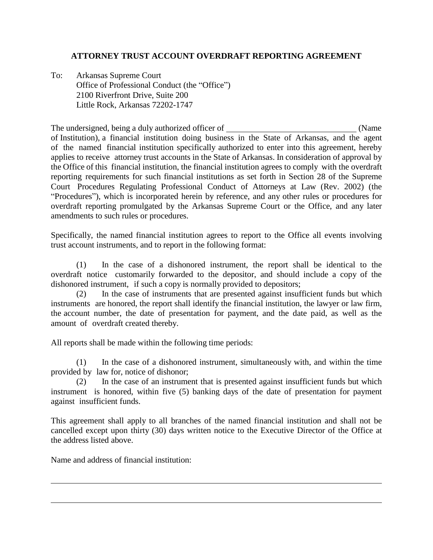## **ATTORNEY TRUST ACCOUNT OVERDRAFT REPORTING AGREEMENT**

To: Arkansas Supreme Court Office of Professional Conduct (the "Office") 2100 Riverfront Drive, Suite 200 Little Rock, Arkansas 72202-1747

The undersigned, being a duly authorized officer of (Name of Institution), a financial institution doing business in the State of Arkansas, and the agent of the named financial institution specifically authorized to enter into this agreement, hereby applies to receive attorney trust accounts in the State of Arkansas. In consideration of approval by the Office of this financial institution, the financial institution agrees to comply with the overdraft reporting requirements for such financial institutions as set forth in Section 28 of the Supreme Court Procedures Regulating Professional Conduct of Attorneys at Law (Rev. 2002) (the "Procedures"), which is incorporated herein by reference, and any other rules or procedures for overdraft reporting promulgated by the Arkansas Supreme Court or the Office, and any later amendments to such rules or procedures.

Specifically, the named financial institution agrees to report to the Office all events involving trust account instruments, and to report in the following format:

(1) In the case of a dishonored instrument, the report shall be identical to the overdraft notice customarily forwarded to the depositor, and should include a copy of the dishonored instrument, if such a copy is normally provided to depositors;

(2) In the case of instruments that are presented against insufficient funds but which instruments are honored, the report shall identify the financial institution, the lawyer or law firm, the account number, the date of presentation for payment, and the date paid, as well as the amount of overdraft created thereby.

All reports shall be made within the following time periods:

(1) In the case of a dishonored instrument, simultaneously with, and within the time provided by law for, notice of dishonor;

(2) In the case of an instrument that is presented against insufficient funds but which instrument is honored, within five (5) banking days of the date of presentation for payment against insufficient funds.

This agreement shall apply to all branches of the named financial institution and shall not be cancelled except upon thirty (30) days written notice to the Executive Director of the Office at the address listed above.

Name and address of financial institution: